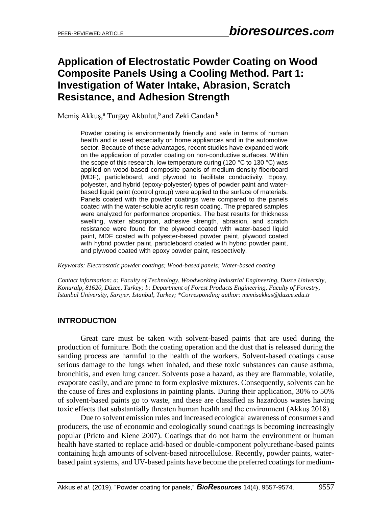## **Application of Electrostatic Powder Coating on Wood Composite Panels Using a Cooling Method. Part 1: Investigation of Water Intake, Abrasion, Scratch Resistance, and Adhesion Strength**

Memiş Akkuş,<sup>a</sup> Turgay Akbulut,<sup>b</sup> and Zeki Candan b

Powder coating is environmentally friendly and safe in terms of human health and is used especially on home appliances and in the automotive sector. Because of these advantages, recent studies have expanded work on the application of powder coating on non-conductive surfaces. Within the scope of this research, low temperature curing (120  $\degree$ C to 130  $\degree$ C) was applied on wood-based composite panels of medium-density fiberboard (MDF), particleboard, and plywood to facilitate conductivity. Epoxy, polyester, and hybrid (epoxy-polyester) types of powder paint and waterbased liquid paint (control group) were applied to the surface of materials. Panels coated with the powder coatings were compared to the panels coated with the water-soluble acrylic resin coating. The prepared samples were analyzed for performance properties. The best results for thickness swelling, water absorption, adhesive strength, abrasion, and scratch resistance were found for the plywood coated with water-based liquid paint, MDF coated with polyester-based powder paint, plywood coated with hybrid powder paint, particleboard coated with hybrid powder paint, and plywood coated with epoxy powder paint, respectively.

*Keywords: Electrostatic powder coatings; Wood-based panels; Water-based coating*

*Contact information: a: [Faculty of Technology,](http://www.tf.duzce.edu.tr/) Woodworking Industrial Engineering, Duzce University, Konuralp, 81620, Düzce, Turkey; b: Department of Forest Products Engineering, Faculty of Forestry, Istanbul University, Sarıyer, Istanbul, Turkey; \*Corresponding author: memisakkus@duzce.edu.tr*

## **INTRODUCTION**

Great care must be taken with solvent-based paints that are used during the production of furniture. Both the coating operation and the dust that is released during the sanding process are harmful to the health of the workers. Solvent-based coatings cause serious damage to the lungs when inhaled, and these toxic substances can cause asthma, bronchitis, and even lung cancer. Solvents pose a hazard, as they are flammable, volatile, evaporate easily, and are prone to form explosive mixtures. Consequently, solvents can be the cause of fires and explosions in painting plants. During their application, 30% to 50% of solvent-based paints go to waste, and these are classified as hazardous wastes having toxic effects that substantially threaten human health and the environment (Akkuş 2018).

Due to solvent emission rules and increased ecological awareness of consumers and producers, the use of economic and ecologically sound coatings is becoming increasingly popular (Prieto and Kiene 2007). Coatings that do not harm the environment or human health have started to replace acid-based or double-component polyurethane-based paints containing high amounts of solvent-based nitrocellulose. Recently, powder paints, waterbased paint systems, and UV-based paints have become the preferred coatings for medium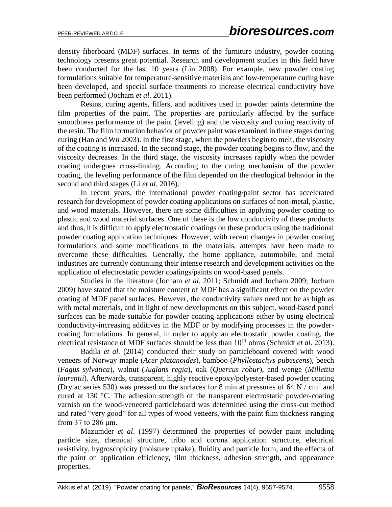density fiberboard (MDF) surfaces. In terms of the furniture industry, powder coating technology presents great potential. Research and development studies in this field have been conducted for the last 10 years (Lin 2008). For example, new powder coating formulations suitable for temperature-sensitive materials and low-temperature curing have been developed, and special surface treatments to increase electrical conductivity have been performed (Jocham *et al*. 2011).

Resins, curing agents, fillers, and additives used in powder paints determine the film properties of the paint. The properties are particularly affected by the surface smoothness performance of the paint (leveling) and the viscosity and curing reactivity of the resin. The film formation behavior of powder paint was examined in three stages during curing (Han and Wu 2003). In the first stage, when the powders begin to melt, the viscosity of the coating is increased. In the second stage, the powder coating begins to flow, and the viscosity decreases. In the third stage, the viscosity increases rapidly when the powder coating undergoes cross-linking. According to the curing mechanism of the powder coating, the leveling performance of the film depended on the rheological behavior in the second and third stages (Li *et al.* 2016).

In recent years, the international powder coating/paint sector has accelerated research for development of powder coating applications on surfaces of non-metal, plastic, and wood materials. However, there are some difficulties in applying powder coating to plastic and wood material surfaces. One of these is the low conductivity of these products and thus, it is difficult to apply electrostatic coatings on these products using the traditional powder coating application techniques. However, with recent changes in powder coating formulations and some modifications to the materials, attempts have been made to overcome these difficulties. Generally, the home appliance, automobile, and metal industries are currently continuing their intense research and development activities on the application of electrostatic powder coatings/paints on wood-based panels.

Studies in the literature (Jocham *et al.* 2011; Schmidt and Jocham 2009; Jocham 2009) have stated that the moisture content of MDF has a significant effect on the powder coating of MDF panel surfaces. However, the conductivity values need not be as high as with metal materials, and in light of new developments on this subject, wood-based panel surfaces can be made suitable for powder coating applications either by using electrical conductivity-increasing additives in the MDF or by modifying processes in the powdercoating formulations. In general, in order to apply an electrostatic powder coating, the electrical resistance of MDF surfaces should be less than  $10^{11}$  ohms (Schmidt *et al.* 2013).

Badila *et al.* (2014) conducted their study on particleboard covered with wood veneers of Norway maple (*Acer platanoides*), bamboo (*Phyllostachys pubescens*), beech (*Fagus sylvatica*), walnut (*Juglans regia*), oak (*Quercus robur*), and wenge (*Millettia laurentii*). Afterwards, transparent, highly reactive epoxy/polyester-based powder coating (Drylac series 530) was pressed on the surfaces for 8 min at pressures of 64 N /  $\text{cm}^2$  and cured at 130 °C. The adhesion strength of the transparent electrostatic powder-coating varnish on the wood-veneered particleboard was determined using the cross-cut method and rated "very good" for all types of wood veneers, with the paint film thickness ranging from 37 to 286 μm.

Mazumder *et al*. (1997) determined the properties of powder paint including particle size, chemical structure, tribo and corona application structure, electrical resistivity, hygroscopicity (moisture uptake), fluidity and particle form, and the effects of the paint on application efficiency, film thickness, adhesion strength, and appearance properties.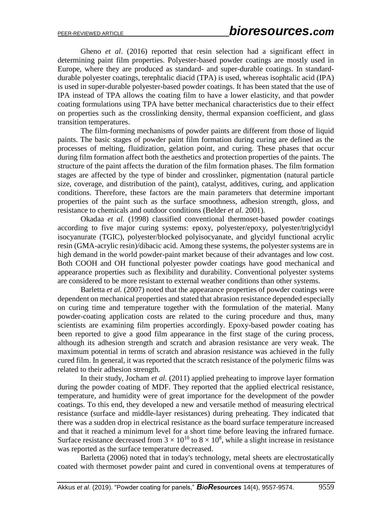Gheno *et al*. (2016) reported that resin selection had a significant effect in determining paint film properties. Polyester-based powder coatings are mostly used in Europe, where they are produced as standard- and super-durable coatings. In standarddurable polyester coatings, terephtalic diacid (TPA) is used, whereas isophtalic acid (IPA) is used in super-durable polyester-based powder coatings. It has been stated that the use of IPA instead of TPA allows the coating film to have a lower elasticity, and that powder coating formulations using TPA have better mechanical characteristics due to their effect on properties such as the crosslinking density, thermal expansion coefficient, and glass transition temperatures.

The film-forming mechanisms of powder paints are different from those of liquid paints. The basic stages of powder paint film formation during curing are defined as the processes of melting, fluidization, gelation point, and curing. These phases that occur during film formation affect both the aesthetics and protection properties of the paints. The structure of the paint affects the duration of the film formation phases. The film formation stages are affected by the type of binder and crosslinker, pigmentation (natural particle size, coverage, and distribution of the paint), catalyst, additives, curing, and application conditions. Therefore, these factors are the main parameters that determine important properties of the paint such as the surface smoothness, adhesion strength, gloss, and resistance to chemicals and outdoor conditions (Belder *et al.* 2001).

Okadaa *et al.* (1998) classified conventional thermoset-based powder coatings according to five major curing systems: epoxy, polyester/epoxy, polyester/triglycidyl isocyanurate (TGIC), polyester/blocked polyisocyanate, and glycidyl functional acrylic resin (GMA-acrylic resin)/dibacic acid. Among these systems, the polyester systems are in high demand in the world powder-paint market because of their advantages and low cost. Both COOH and OH functional polyester powder coatings have good mechanical and appearance properties such as flexibility and durability. Conventional polyester systems are considered to be more resistant to external weather conditions than other systems.

Barletta *et al.* (2007) noted that the appearance properties of powder coatings were dependent on mechanical properties and stated that abrasion resistance depended especially on curing time and temperature together with the formulation of the material. Many powder-coating application costs are related to the curing procedure and thus, many scientists are examining film properties accordingly. Epoxy-based powder coating has been reported to give a good film appearance in the first stage of the curing process, although its adhesion strength and scratch and abrasion resistance are very weak. The maximum potential in terms of scratch and abrasion resistance was achieved in the fully cured film. In general, it was reported that the scratch resistance of the polymeric films was related to their adhesion strength.

In their study, Jocham *et al.* (2011) applied preheating to improve layer formation during the powder coating of MDF. They reported that the applied electrical resistance, temperature, and humidity were of great importance for the development of the powder coatings. To this end, they developed a new and versatile method of measuring electrical resistance (surface and middle-layer resistances) during preheating. They indicated that there was a sudden drop in electrical resistance as the board surface temperature increased and that it reached a minimum level for a short time before leaving the infrared furnace. Surface resistance decreased from  $3 \times 10^{10}$  to  $8 \times 10^8$ , while a slight increase in resistance was reported as the surface temperature decreased.

Barletta (2006) noted that in today's technology, metal sheets are electrostatically coated with thermoset powder paint and cured in conventional ovens at temperatures of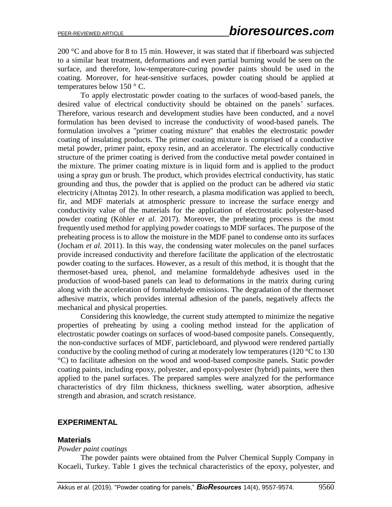200 °C and above for 8 to 15 min. However, it was stated that if fiberboard was subjected to a similar heat treatment, deformations and even partial burning would be seen on the surface, and therefore, low-temperature-curing powder paints should be used in the coating. Moreover, for heat-sensitive surfaces, powder coating should be applied at temperatures below 150 ° C.

To apply electrostatic powder coating to the surfaces of wood-based panels, the desired value of electrical conductivity should be obtained on the panels' surfaces. Therefore, various research and development studies have been conducted, and a novel formulation has been devised to increase the conductivity of wood-based panels. The formulation involves a "primer coating mixture" that enables the electrostatic powder coating of insulating products. The primer coating mixture is comprised of a conductive metal powder, primer paint, epoxy resin, and an accelerator. The electrically conductive structure of the primer coating is derived from the conductive metal powder contained in the mixture. The primer coating mixture is in liquid form and is applied to the product using a spray gun or brush. The product, which provides electrical conductivity, has static grounding and thus, the powder that is applied on the product can be adhered *via* static electricity (Altıntaş 2012). In other research, a plasma modification was applied to beech, fir, and MDF materials at atmospheric pressure to increase the surface energy and conductivity value of the materials for the application of electrostatic polyester-based powder coating (Köhler *et al.* 2017). Moreover, the preheating process is the most frequently used method for applying powder coatings to MDF surfaces. The purpose of the preheating process is to allow the moisture in the MDF panel to condense onto its surfaces (Jocham *et al.* 2011). In this way, the condensing water molecules on the panel surfaces provide increased conductivity and therefore facilitate the application of the electrostatic powder coating to the surfaces. However, as a result of this method, it is thought that the thermoset-based urea, phenol, and melamine formaldehyde adhesives used in the production of wood-based panels can lead to deformations in the matrix during curing along with the acceleration of formaldehyde emissions. The degradation of the thermoset adhesive matrix, which provides internal adhesion of the panels, negatively affects the mechanical and physical properties.

Considering this knowledge, the current study attempted to minimize the negative properties of preheating by using a cooling method instead for the application of electrostatic powder coatings on surfaces of wood-based composite panels. Consequently, the non-conductive surfaces of MDF, particleboard, and plywood were rendered partially conductive by the cooling method of curing at moderately low temperatures (120  $\degree$ C to 130 °C) to facilitate adhesion on the wood and wood-based composite panels. Static powder coating paints, including epoxy, polyester, and epoxy-polyester (hybrid) paints, were then applied to the panel surfaces. The prepared samples were analyzed for the performance characteristics of dry film thickness, thickness swelling, water absorption, adhesive strength and abrasion, and scratch resistance.

#### **EXPERIMENTAL**

#### **Materials**

#### *Powder paint coatings*

The powder paints were obtained from the Pulver Chemical Supply Company in Kocaeli, Turkey. Table 1 gives the technical characteristics of the epoxy, polyester, and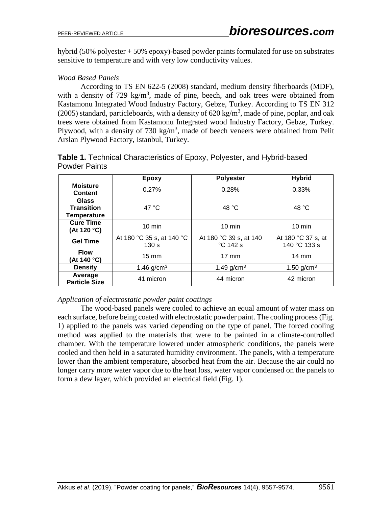hybrid (50% polyester + 50% epoxy)-based powder paints formulated for use on substrates sensitive to temperature and with very low conductivity values.

## *Wood Based Panels*

According to TS EN 622-5 (2008) standard, medium density fiberboards (MDF), with a density of  $729 \text{ kg/m}^3$ , made of pine, beech, and oak trees were obtained from Kastamonu Integrated Wood Industry Factory, Gebze, Turkey. According to TS EN 312 (2005) standard, particleboards, with a density of  $620 \text{ kg/m}^3$ , made of pine, poplar, and oak trees were obtained from Kastamonu Integrated wood Industry Factory, Gebze, Turkey. Plywood, with a density of  $730 \text{ kg/m}^3$ , made of beech veneers were obtained from Pelit Arslan Plywood Factory, Istanbul, Turkey.

|                                                  | Epoxy                              | <b>Polyester</b>                   | <b>Hybrid</b>                      |
|--------------------------------------------------|------------------------------------|------------------------------------|------------------------------------|
| <b>Moisture</b><br><b>Content</b>                | 0.27%                              | 0.28%                              | 0.33%                              |
| <b>Glass</b><br><b>Transition</b><br>Temperature | 47 $\degree$ C                     | 48 °C                              | 48 °C                              |
| <b>Cure Time</b><br>(At 120 °C)                  | $10 \text{ min}$                   | $10 \text{ min}$                   | $10 \text{ min}$                   |
| <b>Gel Time</b>                                  | At 180 °C 35 s, at 140 °C<br>130 s | At 180 °C 39 s, at 140<br>°C 142 s | At 180 °C 37 s, at<br>140 °C 133 s |
| <b>Flow</b><br>(At 140 °C)                       | $15 \text{ mm}$                    | $17 \text{ mm}$                    | $14 \text{ mm}$                    |
| <b>Density</b>                                   | 1.46 $q/cm^{3}$                    | 1.49 $q/cm^{3}$                    | 1.50 $q/cm3$                       |
| Average<br><b>Particle Size</b>                  | 41 micron                          | 44 micron                          | 42 micron                          |

**Table 1.** Technical Characteristics of Epoxy, Polyester, and Hybrid-based Powder Paints

## *Application of electrostatic powder paint coatings*

The wood-based panels were cooled to achieve an equal amount of water mass on each surface, before being coated with electrostatic powder paint. The cooling process (Fig. 1) applied to the panels was varied depending on the type of panel. The forced cooling method was applied to the materials that were to be painted in a climate-controlled chamber. With the temperature lowered under atmospheric conditions, the panels were cooled and then held in a saturated humidity environment. The panels, with a temperature lower than the ambient temperature, absorbed heat from the air. Because the air could no longer carry more water vapor due to the heat loss, water vapor condensed on the panels to form a dew layer, which provided an electrical field (Fig. 1).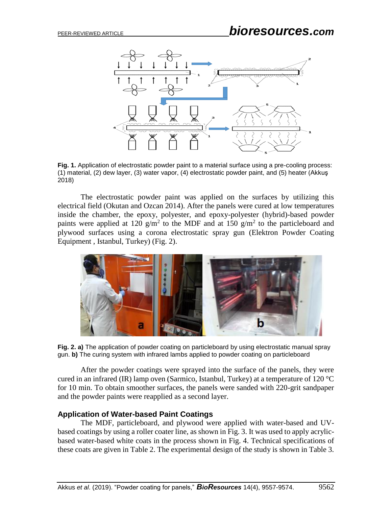

**Fig. 1.** Application of electrostatic powder paint to a material surface using a pre-cooling process: (1) material, (2) dew layer, (3) water vapor, (4) electrostatic powder paint, and (5) heater (Akkuş 2018)

The electrostatic powder paint was applied on the surfaces by utilizing this electrical field (Okutan and Ozcan 2014). After the panels were cured at low temperatures inside the chamber, the epoxy, polyester, and epoxy-polyester (hybrid)-based powder paints were applied at 120  $g/m^2$  to the MDF and at 150  $g/m^2$  to the particleboard and plywood surfaces using a corona electrostatic spray gun (Elektron Powder Coating Equipment , Istanbul, Turkey) (Fig. 2).



**Fig. 2. a)** The application of powder coating on particleboard by using electrostatic manual spray gun. **b)** The curing system with infrared lambs applied to powder coating on particleboard

After the powder coatings were sprayed into the surface of the panels, they were cured in an infrared (IR) lamp oven (Sarmico, Istanbul, Turkey) at a temperature of 120 °C for 10 min. To obtain smoother surfaces, the panels were sanded with 220-grit sandpaper and the powder paints were reapplied as a second layer.

#### **Application of Water-based Paint Coatings**

The MDF, particleboard, and plywood were applied with water-based and UVbased coatings by using a roller coater line, as shown in Fig. 3. It was used to apply acrylicbased water-based white coats in the process shown in Fig. 4. Technical specifications of these coats are given in Table 2. The experimental design of the study is shown in Table 3.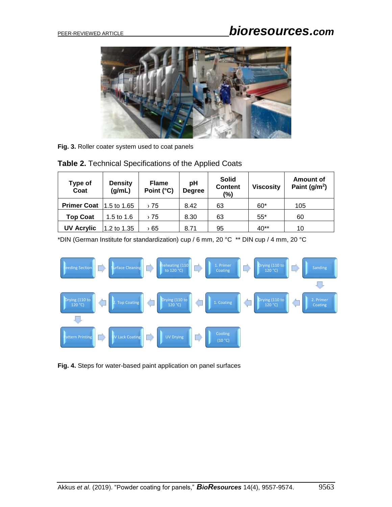# PEER-REVIEWED ARTICLE *bioresources.com*



**Fig. 3.** Roller coater system used to coat panels

| Table 2. Technical Specifications of the Applied Coats |  |  |  |  |  |  |
|--------------------------------------------------------|--|--|--|--|--|--|
|--------------------------------------------------------|--|--|--|--|--|--|

| Type of<br>Coat    | <b>Density</b><br>(g/mL) | <b>Flame</b><br>Point (°C) | pH<br><b>Degree</b> | <b>Solid</b><br><b>Content</b><br>(%) | <b>Viscosity</b> | Amount of<br>Paint ( $g/m2$ ) |
|--------------------|--------------------------|----------------------------|---------------------|---------------------------------------|------------------|-------------------------------|
| <b>Primer Coat</b> | $1.5$ to 1.65            | › 75                       | 8.42                | 63                                    | $60*$            | 105                           |
| <b>Top Coat</b>    | 1.5 to $1.6$             | › 75                       | 8.30                | 63                                    | $55*$            | 60                            |
| <b>UV Acrylic</b>  | 1.2 to 1.35              | 65 ‹                       | 8.71                | 95                                    | $40**$           | 10                            |

\*DIN (German Institute for standardization) cup / 6 mm, 20 °C \*\* DIN cup / 4 mm, 20 °C



**Fig. 4.** Steps for water-based paint application on panel surfaces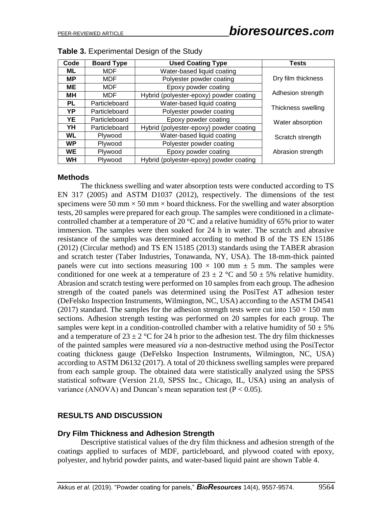| Code      | <b>Board Type</b> | <b>Used Coating Type</b>                | Tests              |
|-----------|-------------------|-----------------------------------------|--------------------|
| ML        | MDF               | Water-based liquid coating              |                    |
| МP        | MDF               | Polyester powder coating                | Dry film thickness |
| ME        | MDF               | Epoxy powder coating                    |                    |
| MН        | MDF               | Hybrid (polyester-epoxy) powder coating | Adhesion strength  |
| PL.       | Particleboard     | Water-based liquid coating              |                    |
| YP        | Particleboard     | Polyester powder coating                | Thickness swelling |
| YE        | Particleboard     | Epoxy powder coating                    | Water absorption   |
| YH        | Particleboard     | Hybrid (polyester-epoxy) powder coating |                    |
| <b>WL</b> | Plywood           | Water-based liquid coating              | Scratch strength   |
| <b>WP</b> | Plywood           | Polyester powder coating                |                    |
| <b>WE</b> | Plywood           | Epoxy powder coating                    | Abrasion strength  |
| <b>WH</b> | Plywood           | Hybrid (polyester-epoxy) powder coating |                    |

#### **Methods**

The thickness swelling and water absorption tests were conducted according to TS EN 317 (2005) and ASTM D1037 (2012), respectively. The dimensions of the test specimens were 50 mm  $\times$  50 mm  $\times$  board thickness. For the swelling and water absorption tests, 20 samples were prepared for each group. The samples were conditioned in a climatecontrolled chamber at a temperature of 20  $\degree$ C and a relative humidity of 65% prior to water immersion. The samples were then soaked for 24 h in water. The scratch and abrasive resistance of the samples was determined according to method B of the TS EN 15186 (2012) (Circular method) and TS EN 15185 (2013) standards using the TABER abrasion and scratch tester (Taber Industries, Tonawanda, NY, USA). The 18-mm-thick painted panels were cut into sections measuring  $100 \times 100$  mm  $\pm$  5 mm. The samples were conditioned for one week at a temperature of  $23 \pm 2$  °C and  $50 \pm 5$ % relative humidity. Abrasion and scratch testing were performed on 10 samples from each group. The adhesion strength of the coated panels was determined using the PosiTest AT adhesion tester (DeFelsko Inspection Instruments, Wilmington, NC, USA) according to the ASTM D4541 (2017) standard. The samples for the adhesion strength tests were cut into  $150 \times 150$  mm sections. Adhesion strength testing was performed on 20 samples for each group. The samples were kept in a condition-controlled chamber with a relative humidity of  $50 \pm 5\%$ and a temperature of  $23 \pm 2$  °C for 24 h prior to the adhesion test. The dry film thicknesses of the painted samples were measured *via* a non-destructive method using the PosiTector coating thickness gauge (DeFelsko Inspection Instruments, Wilmington, NC, USA) according to ASTM D6132 (2017). A total of 20 thickness swelling samples were prepared from each sample group. The obtained data were statistically analyzed using the SPSS statistical software (Version 21.0, SPSS Inc., Chicago, IL, USA) using an analysis of variance (ANOVA) and Duncan's mean separation test ( $P < 0.05$ ).

## **RESULTS AND DISCUSSION**

## **Dry Film Thickness and Adhesion Strength**

Descriptive statistical values of the dry film thickness and adhesion strength of the coatings applied to surfaces of MDF, particleboard, and plywood coated with epoxy, polyester, and hybrid powder paints, and water-based liquid paint are shown Table 4.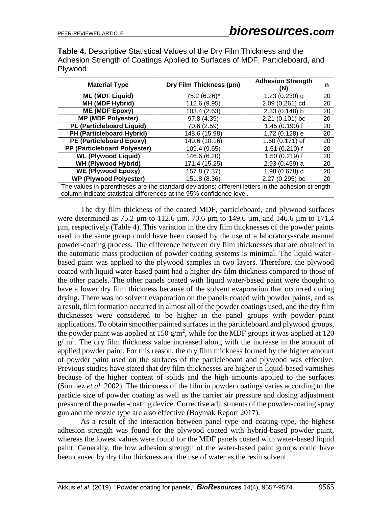**Table 4.** Descriptive Statistical Values of the Dry Film Thickness and the Adhesion Strength of Coatings Applied to Surfaces of MDF, Particleboard, and Plywood

| <b>Material Type</b>                                                                                                                                                      | Dry Film Thickness (µm) | <b>Adhesion Strength</b><br>(N) | n  |  |  |
|---------------------------------------------------------------------------------------------------------------------------------------------------------------------------|-------------------------|---------------------------------|----|--|--|
| <b>ML (MDF Liquid)</b>                                                                                                                                                    | 75.2 (6.26)*            | $1.23(0.230)$ g                 | 20 |  |  |
| <b>MH (MDF Hybrid)</b>                                                                                                                                                    | 112.6 (9.95)            | 2.09 (0.261) cd                 | 20 |  |  |
| <b>ME (MDF Epoxy)</b>                                                                                                                                                     | 103.4 (2.63)            | 2.33 (0.148) b                  | 20 |  |  |
| <b>MP (MDF Polyester)</b>                                                                                                                                                 | 97.8 (4.39)             | $2.21(0.101)$ bc                | 20 |  |  |
| <b>PL (Particleboard Liquid)</b>                                                                                                                                          | 70.6 (2.59)             | $1.45(0.190)$ f                 | 20 |  |  |
| PH (Particleboard Hybrid)                                                                                                                                                 | 148.6 (15.98)           | 1.72 (0.128) e                  | 20 |  |  |
| PE (Particleboard Epoxy)                                                                                                                                                  | 149.6 (10.16)           | 1.60 (0.171) ef                 | 20 |  |  |
| PP (Particleboard Polyester)                                                                                                                                              | 109.4 (9.65)            | $1.51(0.210)$ f                 | 20 |  |  |
| <b>WL (Plywood Liquid)</b>                                                                                                                                                | 146.6 (6.20)            | $1.50(0.219)$ f                 | 20 |  |  |
| <b>WH (Plywood Hybrid)</b>                                                                                                                                                | 171.4 (15.25)           | $2.93(0.459)$ a                 | 20 |  |  |
| <b>WE (Plywood Epoxy)</b>                                                                                                                                                 | 157.8 (7.37)            | 1.98 (0.678) d                  | 20 |  |  |
| <b>WP (Plywood Polyester)</b>                                                                                                                                             | 151.8 (8.36)            | 2.27 (0.295) bc                 | 20 |  |  |
| The values in parentheses are the standard deviations; different letters in the adhesion strength<br>column indicate statistical differences at the 95% confidence level. |                         |                                 |    |  |  |

The dry film thickness of the coated MDF, particleboard, and plywood surfaces were determined as 75.2 µm to 112.6 µm, 70.6 µm to 149.6 µm, and 146.6 µm to 171.4 µm, respectively (Table 4). This variation in the dry film thicknesses of the powder paints used in the same group could have been caused by the use of a laboratory-scale manual powder-coating process. The difference between dry film thicknesses that are obtained in the automatic mass production of powder coating systems is minimal. The liquid waterbased paint was applied to the plywood samples in two layers. Therefore, the plywood coated with liquid water-based paint had a higher dry film thickness compared to those of the other panels. The other panels coated with liquid water-based paint were thought to have a lower dry film thickness because of the solvent evaporation that occurred during drying. There was no solvent evaporation on the panels coated with powder paints, and as a result, film formation occurred in almost all of the powder coatings used, and the dry film thicknesses were considered to be higher in the panel groups with powder paint applications. To obtain smoother painted surfaces in the particleboard and plywood groups, the powder paint was applied at 150  $g/m^2$ , while for the MDF groups it was applied at 120  $g/m<sup>2</sup>$ . The dry film thickness value increased along with the increase in the amount of applied powder paint. For this reason, the dry film thickness formed by the higher amount of powder paint used on the surfaces of the particleboard and plywood was effective. Previous studies have stated that dry film thicknesses are higher in liquid-based varnishes because of the higher content of solids and the high amounts applied to the surfaces (Sönmez *et al.* 2002). The thickness of the film in powder coatings varies according to the particle size of powder coating as well as the carrier air pressure and dosing adjustment pressure of the powder-coating device. Corrective adjustments of the powder-coating spray gun and the nozzle type are also effective (Boymak Report 2017).

As a result of the interaction between panel type and coating type, the highest adhesion strength was found for the plywood coated with hybrid-based powder paint, whereas the lowest values were found for the MDF panels coated with water-based liquid paint. Generally, the low adhesion strength of the water-based paint groups could have been caused by dry film thickness and the use of water as the resin solvent.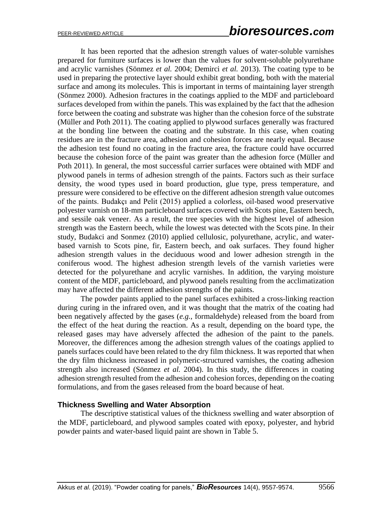It has been reported that the adhesion strength values of water-soluble varnishes prepared for furniture surfaces is lower than the values for solvent-soluble polyurethane and acrylic varnishes (Sönmez *et al.* 2004; Demirci *et al.* 2013). The coating type to be used in preparing the protective layer should exhibit great bonding, both with the material surface and among its molecules. This is important in terms of maintaining layer strength (Sönmez 2000). Adhesion fractures in the coatings applied to the MDF and particleboard surfaces developed from within the panels. This was explained by the fact that the adhesion force between the coating and substrate was higher than the cohesion force of the substrate (Müller and Poth 2011). The coating applied to plywood surfaces generally was fractured at the bonding line between the coating and the substrate. In this case, when coating residues are in the fracture area, adhesion and cohesion forces are nearly equal. Because the adhesion test found no coating in the fracture area, the fracture could have occurred because the cohesion force of the paint was greater than the adhesion force (Müller and Poth 2011). In general, the most successful carrier surfaces were obtained with MDF and plywood panels in terms of adhesion strength of the paints. Factors such as their surface density, the wood types used in board production, glue type, press temperature, and pressure were considered to be effective on the different adhesion strength value outcomes of the paints. Budakçı and Pelit (2015) applied a colorless, oil-based wood preservative polyester varnish on 18-mm particleboard surfaces covered with Scots pine, Eastern beech, and sessile oak veneer. As a result, the tree species with the highest level of adhesion strength was the Eastern beech, while the lowest was detected with the Scots pine. In their study, Budakci and Sonmez (2010) applied cellulosic, polyurethane, acrylic, and waterbased varnish to Scots pine, fir, Eastern beech, and oak surfaces. They found higher adhesion strength values in the deciduous wood and lower adhesion strength in the coniferous wood. The highest adhesion strength levels of the varnish varieties were detected for the polyurethane and acrylic varnishes. In addition, the varying moisture content of the MDF, particleboard, and plywood panels resulting from the acclimatization may have affected the different adhesion strengths of the paints.

The powder paints applied to the panel surfaces exhibited a cross-linking reaction during curing in the infrared oven, and it was thought that the matrix of the coating had been negatively affected by the gases (*e.g.*, formaldehyde) released from the board from the effect of the heat during the reaction. As a result, depending on the board type, the released gases may have adversely affected the adhesion of the paint to the panels. Moreover, the differences among the adhesion strength values of the coatings applied to panels surfaces could have been related to the dry film thickness. It was reported that when the dry film thickness increased in polymeric-structured varnishes, the coating adhesion strength also increased (Sönmez *et al.* 2004). In this study, the differences in coating adhesion strength resulted from the adhesion and cohesion forces, depending on the coating formulations, and from the gases released from the board because of heat.

## **Thickness Swelling and Water Absorption**

The descriptive statistical values of the thickness swelling and water absorption of the MDF, particleboard, and plywood samples coated with epoxy, polyester, and hybrid powder paints and water-based liquid paint are shown in Table 5.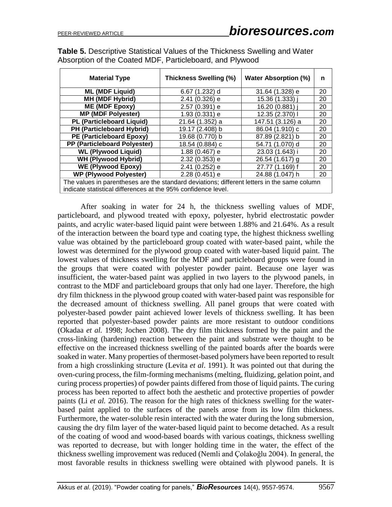| <b>Table 5.</b> Descriptive Statistical Values of the Thickness Swelling and Water |
|------------------------------------------------------------------------------------|
| Absorption of the Coated MDF, Particleboard, and Plywood                           |

| <b>Material Type</b>                                                                                                                                         | Thickness Swelling (%) | <b>Water Absorption (%)</b> | n  |  |  |
|--------------------------------------------------------------------------------------------------------------------------------------------------------------|------------------------|-----------------------------|----|--|--|
| <b>ML (MDF Liquid)</b>                                                                                                                                       | 6.67 (1.232) d         | 31.64 (1.328) e             | 20 |  |  |
| <b>MH (MDF Hybrid)</b>                                                                                                                                       | 2.41 (0.326) e         | 15.36 (1.333) i             | 20 |  |  |
| ME (MDF Epoxy)                                                                                                                                               | 2.57 (0.391) e         | 16.20 (0.881) i             | 20 |  |  |
| <b>MP (MDF Polyester)</b>                                                                                                                                    | 1.93 (0.331) e         | 12.35 (2.370) I             | 20 |  |  |
| <b>PL (Particleboard Liquid)</b>                                                                                                                             | 21.64 (1.352) a        | 147.51 (3.126) a            | 20 |  |  |
| PH (Particleboard Hybrid)                                                                                                                                    | 19.17 (2.408) b        | 86.04 (1.910) c             | 20 |  |  |
| PE (Particleboard Epoxy)                                                                                                                                     | 19.68 (0.770) b        | 87.89 (2.821) b             | 20 |  |  |
| PP (Particleboard Polyester)                                                                                                                                 | 18.54 (0.884) c        | 54.71 (1.070) d             | 20 |  |  |
| <b>WL (Plywood Liquid)</b>                                                                                                                                   | 1.88 (0.467) e         | 23.03 (1.643) i             | 20 |  |  |
| <b>WH (Plywood Hybrid)</b>                                                                                                                                   | 2.32 (0.353) e         | 26.54 (1.617) a             | 20 |  |  |
| WE (Plywood Epoxy)                                                                                                                                           | 2.41 (0.252) e         | 27.77 (1.169) f             | 20 |  |  |
| <b>WP (Plywood Polyester)</b>                                                                                                                                | $2.28(0.451)$ e        | 24.88 (1.047) h             | 20 |  |  |
| The values in parentheses are the standard deviations; different letters in the same column<br>indicate statistical differences at the 95% confidence level. |                        |                             |    |  |  |

After soaking in water for 24 h, the thickness swelling values of MDF, particleboard, and plywood treated with epoxy, polyester, hybrid electrostatic powder paints, and acrylic water-based liquid paint were between 1.88% and 21.64%. As a result of the interaction between the board type and coating type, the highest thickness swelling value was obtained by the particleboard group coated with water-based paint, while the lowest was determined for the plywood group coated with water-based liquid paint. The lowest values of thickness swelling for the MDF and particleboard groups were found in the groups that were coated with polyester powder paint. Because one layer was insufficient, the water-based paint was applied in two layers to the plywood panels, in contrast to the MDF and particleboard groups that only had one layer. Therefore, the high dry film thickness in the plywood group coated with water-based paint was responsible for the decreased amount of thickness swelling. All panel groups that were coated with polyester-based powder paint achieved lower levels of thickness swelling. It has been reported that polyester-based powder paints are more resistant to outdoor conditions (Okadaa *et al.* 1998; Jochen 2008). The dry film thickness formed by the paint and the cross-linking (hardening) reaction between the paint and substrate were thought to be effective on the increased thickness swelling of the painted boards after the boards were soaked in water. Many properties of thermoset-based polymers have been reported to result from a high crosslinking structure (Levita *et al*. 1991). It was pointed out that during the oven-curing process, the film-forming mechanisms (melting, fluidizing, gelation point, and curing process properties) of powder paints differed from those of liquid paints. The curing process has been reported to affect both the aesthetic and protective properties of powder paints (Li *et al.* 2016). The reason for the high rates of thickness swelling for the waterbased paint applied to the surfaces of the panels arose from its low film thickness. Furthermore, the water-soluble resin interacted with the water during the long submersion, causing the dry film layer of the water-based liquid paint to become detached. As a result of the coating of wood and wood-based boards with various coatings, thickness swelling was reported to decrease, but with longer holding time in the water, the effect of the thickness swelling improvement was reduced (Nemli and Çolakoğlu 2004). In general, the most favorable results in thickness swelling were obtained with plywood panels. It is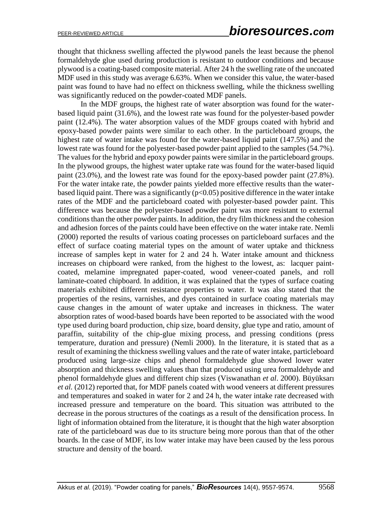thought that thickness swelling affected the plywood panels the least because the phenol formaldehyde glue used during production is resistant to outdoor conditions and because plywood is a coating-based composite material. After 24 h the swelling rate of the uncoated MDF used in this study was average 6.63%. When we consider this value, the water-based paint was found to have had no effect on thickness swelling, while the thickness swelling was significantly reduced on the powder-coated MDF panels.

In the MDF groups, the highest rate of water absorption was found for the waterbased liquid paint (31.6%), and the lowest rate was found for the polyester-based powder paint (12.4%). The water absorption values of the MDF groups coated with hybrid and epoxy-based powder paints were similar to each other. In the particleboard groups, the highest rate of water intake was found for the water-based liquid paint (147.5%) and the lowest rate was found for the polyester-based powder paint applied to the samples (54.7%). The values for the hybrid and epoxy powder paints were similar in the particleboard groups. In the plywood groups, the highest water uptake rate was found for the water-based liquid paint (23.0%), and the lowest rate was found for the epoxy-based powder paint (27.8%). For the water intake rate, the powder paints yielded more effective results than the waterbased liquid paint. There was a significantly ( $p<0.05$ ) positive difference in the water intake rates of the MDF and the particleboard coated with polyester-based powder paint. This difference was because the polyester-based powder paint was more resistant to external conditions than the other powder paints. In addition, the dry film thickness and the cohesion and adhesion forces of the paints could have been effective on the water intake rate. Nemli (2000) reported the results of various coating processes on particleboard surfaces and the effect of surface coating material types on the amount of water uptake and thickness increase of samples kept in water for 2 and 24 h. Water intake amount and thickness increases on chipboard were ranked, from the highest to the lowest, as: lacquer paintcoated, melamine impregnated paper-coated, wood veneer-coated panels, and roll laminate-coated chipboard. In addition, it was explained that the types of surface coating materials exhibited different resistance properties to water. It was also stated that the properties of the resins, varnishes, and dyes contained in surface coating materials may cause changes in the amount of water uptake and increases in thickness. The water absorption rates of wood-based boards have been reported to be associated with the wood type used during board production, chip size, board density, glue type and ratio, amount of paraffin, suitability of the chip-glue mixing process, and pressing conditions (press temperature, duration and pressure) (Nemli 2000). In the literature, it is stated that as a result of examining the thickness swelling values and the rate of water intake, particleboard produced using large-size chips and phenol formaldehyde glue showed lower water absorption and thickness swelling values than that produced using urea formaldehyde and phenol formaldehyde glues and different chip sizes (Viswanathan *et al*. 2000). Büyüksarı *et al.* (2012) reported that, for MDF panels coated with wood veneers at different pressures and temperatures and soaked in water for 2 and 24 h, the water intake rate decreased with increased pressure and temperature on the board. This situation was attributed to the decrease in the porous structures of the coatings as a result of the densification process. In light of information obtained from the literature, it is thought that the high water absorption rate of the particleboard was due to its structure being more porous than that of the other boards. In the case of MDF, its low water intake may have been caused by the less porous structure and density of the board.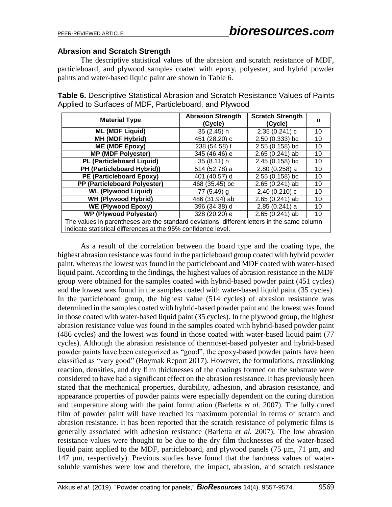#### **Abrasion and Scratch Strength**

The descriptive statistical values of the abrasion and scratch resistance of MDF, particleboard, and plywood samples coated with epoxy, polyester, and hybrid powder paints and water-based liquid paint are shown in Table 6.

**Table 6.** Descriptive Statistical Abrasion and Scratch Resistance Values of Paints Applied to Surfaces of MDF, Particleboard, and Plywood

| <b>Material Type</b>                                                                                                                                         | <b>Abrasion Strength</b><br>(Cycle) | <b>Scratch Strength</b><br>(Cycle) | n  |  |
|--------------------------------------------------------------------------------------------------------------------------------------------------------------|-------------------------------------|------------------------------------|----|--|
| <b>ML (MDF Liquid)</b>                                                                                                                                       | 35 (2.45) h                         | 2.35(0.241)c                       | 10 |  |
| <b>MH (MDF Hybrid)</b>                                                                                                                                       | 451 (28.20) c                       | 2.50 (0.333) bc                    | 10 |  |
| ME (MDF Epoxy)                                                                                                                                               | 238 (54.58) f                       | 2.55 (0.158) bc                    | 10 |  |
| <b>MP (MDF Polyester)</b>                                                                                                                                    | 345 (46.46) e                       | $2.65(0.241)$ ab                   | 10 |  |
| <b>PL (Particleboard Liquid)</b>                                                                                                                             | 35 (8.11) h                         | 2.45 (0.158) bc                    | 10 |  |
| PH (Particleboard Hybrid))                                                                                                                                   | 514 (52.78) a                       | $2.80(0.258)$ a                    | 10 |  |
| PE (Particleboard Epoxy)                                                                                                                                     | 401 (40.57) d                       | $2.55(0.158)$ bc                   | 10 |  |
| PP (Particleboard Polyester)                                                                                                                                 | 468 (35.45) bc                      | $2.65(0.241)$ ab                   | 10 |  |
| <b>WL (Plywood Liquid)</b>                                                                                                                                   | 77 (5.49) g                         | 2.40(0.210)c                       | 10 |  |
| <b>WH (Plywood Hybrid)</b>                                                                                                                                   | 486 (31.94) ab                      | $2.65(0.241)$ ab                   | 10 |  |
| <b>WE (Plywood Epoxy)</b>                                                                                                                                    | 396 (34.38) d                       | $2.85(0.241)$ a                    | 10 |  |
| <b>WP (Plywood Polyester)</b>                                                                                                                                | 328 (20.20) e                       | $2.65(0.241)$ ab                   | 10 |  |
| The values in parentheses are the standard deviations; different letters in the same column<br>indicate statistical differences at the 95% confidence level. |                                     |                                    |    |  |

As a result of the correlation between the board type and the coating type, the highest abrasion resistance was found in the particleboard group coated with hybrid powder paint, whereas the lowest was found in the particleboard and MDF coated with water-based liquid paint. According to the findings, the highest values of abrasion resistance in the MDF group were obtained for the samples coated with hybrid-based powder paint (451 cycles) and the lowest was found in the samples coated with water-based liquid paint (35 cycles). In the particleboard group, the highest value (514 cycles) of abrasion resistance was determined in the samples coated with hybrid-based powder paint and the lowest was found in those coated with water-based liquid paint (35 cycles). In the plywood group, the highest abrasion resistance value was found in the samples coated with hybrid-based powder paint (486 cycles) and the lowest was found in those coated with water-based liquid paint (77 cycles). Although the abrasion resistance of thermoset-based polyester and hybrid-based powder paints have been categorized as "good", the epoxy-based powder paints have been classified as "very good" (Boymak Report 2017). However, the formulations, crosslinking reaction, densities, and dry film thicknesses of the coatings formed on the substrate were considered to have had a significant effect on the abrasion resistance. It has previously been stated that the mechanical properties, durability, adhesion, and abrasion resistance, and appearance properties of powder paints were especially dependent on the curing duration and temperature along with the paint formulation (Barletta *et al.* 2007). The fully cured film of powder paint will have reached its maximum potential in terms of scratch and abrasion resistance. It has been reported that the scratch resistance of polymeric films is generally associated with adhesion resistance (Barletta *et al.* 2007). The low abrasion resistance values were thought to be due to the dry film thicknesses of the water-based liquid paint applied to the MDF, particleboard, and plywood panels  $(75 \mu m, 71 \mu m,$  and 147 µm, respectively). Previous studies have found that the hardness values of watersoluble varnishes were low and therefore, the impact, abrasion, and scratch resistance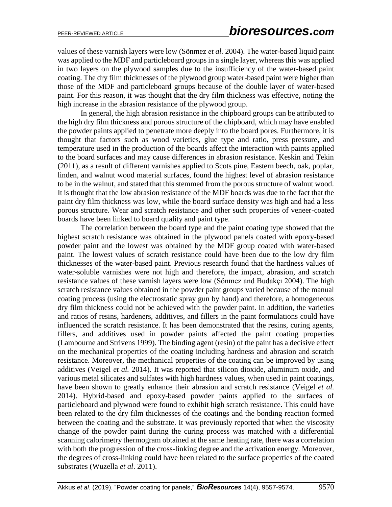values of these varnish layers were low (Sönmez *et al.* 2004). The water-based liquid paint was applied to the MDF and particleboard groups in a single layer, whereas this was applied in two layers on the plywood samples due to the insufficiency of the water-based paint coating. The dry film thicknesses of the plywood group water-based paint were higher than those of the MDF and particleboard groups because of the double layer of water-based paint. For this reason, it was thought that the dry film thickness was effective, noting the high increase in the abrasion resistance of the plywood group.

In general, the high abrasion resistance in the chipboard groups can be attributed to the high dry film thickness and porous structure of the chipboard, which may have enabled the powder paints applied to penetrate more deeply into the board pores. Furthermore, it is thought that factors such as wood varieties, glue type and ratio, press pressure, and temperature used in the production of the boards affect the interaction with paints applied to the board surfaces and may cause differences in abrasion resistance. Keskin and Tekin (2011), as a result of different varnishes applied to Scots pine, Eastern beech, oak, poplar, linden, and walnut wood material surfaces, found the highest level of abrasion resistance to be in the walnut, and stated that this stemmed from the porous structure of walnut wood. It is thought that the low abrasion resistance of the MDF boards was due to the fact that the paint dry film thickness was low, while the board surface density was high and had a less porous structure. Wear and scratch resistance and other such properties of veneer-coated boards have been linked to board quality and paint type.

The correlation between the board type and the paint coating type showed that the highest scratch resistance was obtained in the plywood panels coated with epoxy-based powder paint and the lowest was obtained by the MDF group coated with water-based paint. The lowest values of scratch resistance could have been due to the low dry film thicknesses of the water-based paint. Previous research found that the hardness values of water-soluble varnishes were not high and therefore, the impact, abrasion, and scratch resistance values of these varnish layers were low (Sönmez and Budakçı 2004). The high scratch resistance values obtained in the powder paint groups varied because of the manual coating process (using the electrostatic spray gun by hand) and therefore, a homogeneous dry film thickness could not be achieved with the powder paint. In addition, the varieties and ratios of resins, hardeners, additives, and fillers in the paint formulations could have influenced the scratch resistance. It has been demonstrated that the resins, curing agents, fillers, and additives used in powder paints affected the paint coating properties (Lambourne and Strivens 1999). The binding agent (resin) of the paint has a decisive effect on the mechanical properties of the coating including hardness and abrasion and scratch resistance. Moreover, the mechanical properties of the coating can be improved by using additives (Veigel *et al.* 2014). It was reported that silicon dioxide, aluminum oxide, and various metal silicates and sulfates with high hardness values, when used in paint coatings, have been shown to greatly enhance their abrasion and scratch resistance (Veigel *et al.* 2014). Hybrid-based and epoxy-based powder paints applied to the surfaces of particleboard and plywood were found to exhibit high scratch resistance. This could have been related to the dry film thicknesses of the coatings and the bonding reaction formed between the coating and the substrate. It was previously reported that when the viscosity change of the powder paint during the curing process was matched with a differential scanning calorimetry thermogram obtained at the same [heating rate,](https://www.sciencedirect.com/topics/chemical-engineering/heating-rate) there was a correlation with both the progression of the cross-linking degree and the activation energy. Moreover, the degrees of cross-linking could have been related to the surface properties of the coated substrates (Wuzella *et al*. 2011).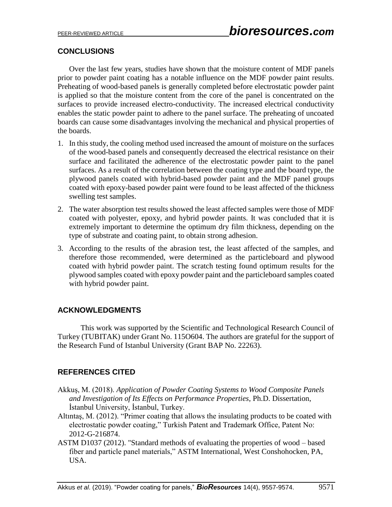## **CONCLUSIONS**

Over the last few years, studies have shown that the moisture content of MDF panels prior to powder paint coating has a notable influence on the MDF powder paint results. Preheating of wood-based panels is generally completed before electrostatic powder paint is applied so that the moisture content from the core of the panel is concentrated on the surfaces to provide increased electro-conductivity. The increased electrical conductivity enables the static powder paint to adhere to the panel surface. The preheating of uncoated boards can cause some disadvantages involving the mechanical and physical properties of the boards.

- 1. In this study, the cooling method used increased the amount of moisture on the surfaces of the wood-based panels and consequently decreased the electrical resistance on their surface and facilitated the adherence of the electrostatic powder paint to the panel surfaces. As a result of the correlation between the coating type and the board type, the plywood panels coated with hybrid-based powder paint and the MDF panel groups coated with epoxy-based powder paint were found to be least affected of the thickness swelling test samples.
- 2. The water absorption test results showed the least affected samples were those of MDF coated with polyester, epoxy, and hybrid powder paints. It was concluded that it is extremely important to determine the optimum dry film thickness, depending on the type of substrate and coating paint, to obtain strong adhesion.
- 3. According to the results of the abrasion test, the least affected of the samples, and therefore those recommended, were determined as the particleboard and plywood coated with hybrid powder paint. The scratch testing found optimum results for the plywood samples coated with epoxy powder paint and the particleboard samples coated with hybrid powder paint.

## **ACKNOWLEDGMENTS**

This work was supported by the Scientific and Technological Research Council of Turkey (TUBITAK) under Grant No. 115O604. The authors are grateful for the support of the Research Fund of Istanbul University (Grant BAP No. 22263).

## **REFERENCES CITED**

- Akkuş, M. (2018). *Application of Powder Coating Systems to Wood Composite Panels and Investigation of Its Effects on Performance Properties*, Ph.D. Dissertation, İstanbul University, İstanbul, Turkey.
- Altıntaş, M. (2012). "Primer coating that allows the insulating products to be coated with electrostatic powder coating," Turkish Patent and Trademark Office, Patent No: 2012-G-216874.
- ASTM D1037 (2012). "Standard methods of evaluating the properties of wood based fiber and particle panel materials," ASTM International, West Conshohocken, PA, USA.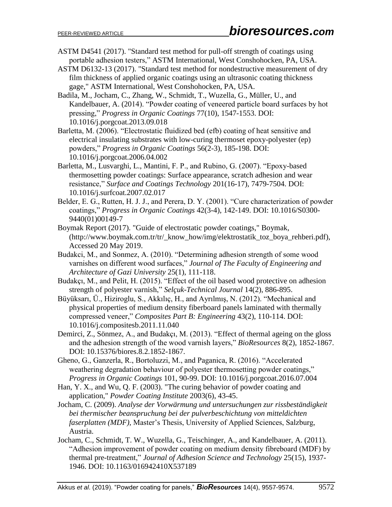- ASTM D4541 (2017). "Standard test method for pull-off strength of coatings using portable adhesion testers," ASTM International, West Conshohocken, PA, USA.
- ASTM D6132-13 (2017). "Standard test method for nondestructive measurement of dry film thickness of applied organic coatings using an ultrasonic coating thickness gage," ASTM International, West Conshohocken, PA, USA.
- Badila, M., Jocham, C., Zhang, W., Schmidt, T., Wuzella, G., Müller, U., and Kandelbauer, A. (2014). "Powder coating of veneered particle board surfaces by hot pressing," *Progress in Organic Coatings* 77(10), 1547-1553. DOI: 10.1016/j.porgcoat.2013.09.018
- Barletta, M. (2006). "Electrostatic fluidized bed (efb) coating of heat sensitive and electrical insulating substrates with low-curing thermoset epoxy-polyester (ep) powders," *Progress in Organic Coatings* 56(2-3), 185-198. DOI: [10.1016/j.porgcoat.2006.04.002](https://doi.org/10.1016/j.porgcoat.2006.04.002)
- Barletta, M., Lusvarghi, L., Mantini, F. P., and Rubino, G. (2007). "Epoxy-based thermosetting powder coatings: Surface appearance, scratch adhesion and wear resistance," *Surface and Coatings Technology* 201(16-17), 7479-7504. DOI: 10.1016/j.surfcoat.2007.02.017
- Belder, E. G., Rutten, H. J. J., and Perera, D. Y. (2001). "Cure characterization of powder coatings," *Progress in Organic Coatings* 42(3-4), 142-149. DOI: [10.1016/S0300-](https://doi.org/10.1016/S0300-9440(01)00149-7) [9440\(01\)00149-7](https://doi.org/10.1016/S0300-9440(01)00149-7)
- Boymak Report (2017). "Guide of electrostatic powder coatings," Boymak, [\(http://www.boymak.com.tr/tr/\\_know\\_how/img/elektrostatik\\_toz\\_boya\\_rehberi.pdf\)](http://www.boymak.com.tr/tr/_know_how/img/elektrostatik_toz_boya_rehberi.pdf), Accessed 20 May 2019.
- Budakci, M., and Sonmez, A. (2010). "Determining adhesion strength of some wood varnishes on different wood surfaces," *Journal of The Faculty of Engineering and Architecture of Gazi University* 25(1), 111-118.
- Budakçı, M., and Pelit, H. (2015). "Effect of the oil based wood protective on adhesion strength of polyester varnish," *Selçuk-Technical Journal* 14(2), 886-895.
- Büyüksarı, Ü., Hiziroglu, S., Akkılıç, H., and Ayrılmış, N. (2012). "Mechanical and physical properties of medium density fiberboard panels laminated with thermally compressed veneer," *Composites Part B: Engineering* 43(2), 110-114. DOI: [10.1016/j.compositesb.2011.11.040](https://doi.org/10.1016/j.compositesb.2011.11.040)
- Demirci, Z., Sönmez, A., and Budakçı, M. (2013). "Effect of thermal ageing on the gloss and the adhesion strength of the wood varnish layers," *BioResources* 8(2), 1852-1867. DOI: [10.15376/biores.8.2.1852-1867.](https://doi.org/10.15376/biores.8.2.1852-1867)
- Gheno, G., Ganzerla, R., Bortoluzzi, M., and Paganica, R. (2016). "Accelerated weathering degradation behaviour of polyester thermosetting powder coatings," *Progress in Organic Coatings* 101, 90-99. DOI: [10.1016/j.porgcoat.2016.07.004](https://doi.org/10.1016/j.porgcoat.2016.07.004)
- Han, Y. X., and Wu, Q. F. (2003). "The curing behavior of powder coating and application," *Powder Coating Institute* 2003(6), 43-45.
- Jocham, C. (2009). *Analyse der Vorwärmung und untersuchungen zur rissbeständigkeit bei thermischer beanspruchung bei der pulverbeschichtung von mitteldichten faserplatten (MDF),* Master's Thesis, University of Applied Sciences, Salzburg, Austria.
- Jocham, C., Schmidt, T. W., Wuzella, G., Teischinger, A., and Kandelbauer, A. (2011). "Adhesion improvement of powder coating on medium density fibreboard (MDF) by thermal pre-treatment," *Journal of Adhesion Science and Technology* 25(15), 1937- 1946. DOI: 10.1163/016942410X537189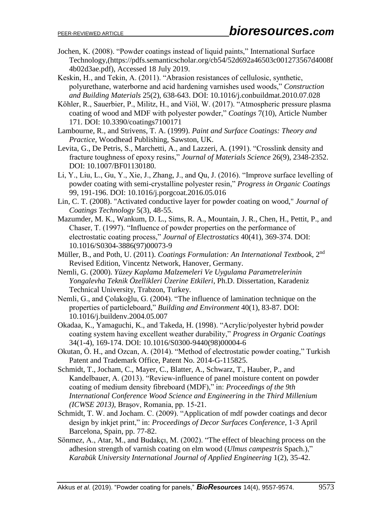Jochen, K. (2008). "Powder coatings instead of liquid paints," International Surface Technology,[\(https://pdfs.semanticscholar.org/cb54/52d692a46503c001273567d4008f](https://pdfs.semanticscholar.org/cb54/52d692a46503c001273567d4008f4b02d3ae.pdf) [4b02d3ae.pdf\)](https://pdfs.semanticscholar.org/cb54/52d692a46503c001273567d4008f4b02d3ae.pdf), Accessed 18 July 2019.

Keskin, H., and Tekin, A. (2011). "Abrasion resistances of cellulosic, synthetic, polyurethane, waterborne and acid hardening varnishes used woods," *Construction and Building Materials* 25(2), 638-643. DOI: [10.1016/j.conbuildmat.2010.07.028](https://doi.org/10.1016/j.conbuildmat.2010.07.028)

Köhler, R., Sauerbier, P., Militz, H., and Viöl, W. (2017). "Atmospheric pressure plasma coating of wood and MDF with polyester powder," *Coatings* 7(10), Article Number 171. DOI: 10.3390/coatings7100171

Lambourne, R., and Strivens, T. A. (1999). *Paint and Surface Coatings: Theory and Practice*, Woodhead Publishing, Sawston, UK.

Levita, G., De Petris, S., Marchetti, A., and Lazzeri, A. (1991). "Crosslink density and fracture toughness of epoxy resins," *Journal of Materials Science* 26(9), 2348-2352. DOI: 10.1007/BF01130180.

- Li, Y., Liu, L., Gu, Y., Xie, J., Zhang, J., and Qu, J. (2016). "Improve surface levelling of powder coating with semi-crystalline polyester resin," *Progress in Organic Coatings* 99, 191-196. DOI: 10.1016/j.porgcoat.2016.05.016
- Lin, C. T. (2008). "Activated conductive layer for powder coating on wood," *Journal of Coatings Technology* 5(3), 48-55.
- Mazumder, M. K., Wankum, D. L., Sims, R. A., Mountain, J. R., Chen, H., Pettit, P., and Chaser, T. (1997). "Influence of powder properties on the performance of electrostatic coating process," *Journal of Electrostatics* 40(41), 369-374. DOI: [10.1016/S0304-3886\(97\)00073-9](https://doi.org/10.1016/S0304-3886(97)00073-9)
- Müller, B., and Poth, U. (2011). *Coatings Formulation: An International Textbook*, 2<sup>nd</sup> Revised Edition, Vincentz Network, Hanover, Germany.
- Nemli, G. (2000). *Yüzey Kaplama Malzemeleri Ve Uygulama Parametrelerinin Yongalevha Teknik Özellikleri Üzerine Etkileri*, Ph.D. Dissertation, Karadeniz Technical University, Trabzon, Turkey.
- Nemli, G., and Çolakoğlu, G. (2004). "The influence of lamination technique on the properties of particleboard," *Building and Environment* 40(1), 83-87. DOI: [10.1016/j.buildenv.2004.05.007](https://doi.org/10.1016/j.buildenv.2004.05.007)
- Okadaa, K., Yamaguchi, K., and Takeda, H. (1998). "Acrylic/polyester hybrid powder coating system having excellent weather durability," *Progress in Organic Coatings* 34(1-4), 169-174. DOI: 10.1016/S0300-9440(98)00004-6
- Okutan, Ö. H., and Ozcan, A. (2014). "Method of electrostatic powder coating," Turkish Patent and Trademark Office, Patent No. 2014-G-115825.
- Schmidt, T., Jocham, C., Mayer, C., Blatter, A., Schwarz, T., Hauber, P., and Kandelbauer, A. (2013). "Review-influence of panel moisture content on powder coating of medium density fibreboard (MDF)," in: *Proceedings of the 9th International Conference Wood Science and Engineering in the Third Millenium (ICWSE 2013),* Braşov, Romania, pp. 15-21.
- Schmidt, T. W. and Jocham. C. (2009). "Application of mdf powder coatings and decor design by inkjet print," in: *Proceedings of Decor Surfaces Conference*, 1-3 April Barcelona, Spain, pp. 77-82.
- Sönmez, A., Atar, M., and Budakçı, M. (2002). "The effect of bleaching process on the adhesion strength of varnish coating on elm wood (*Ulmus campestris* Spach.)," *Karabük University International Journal of Applied Engineering* 1(2), 35-42.